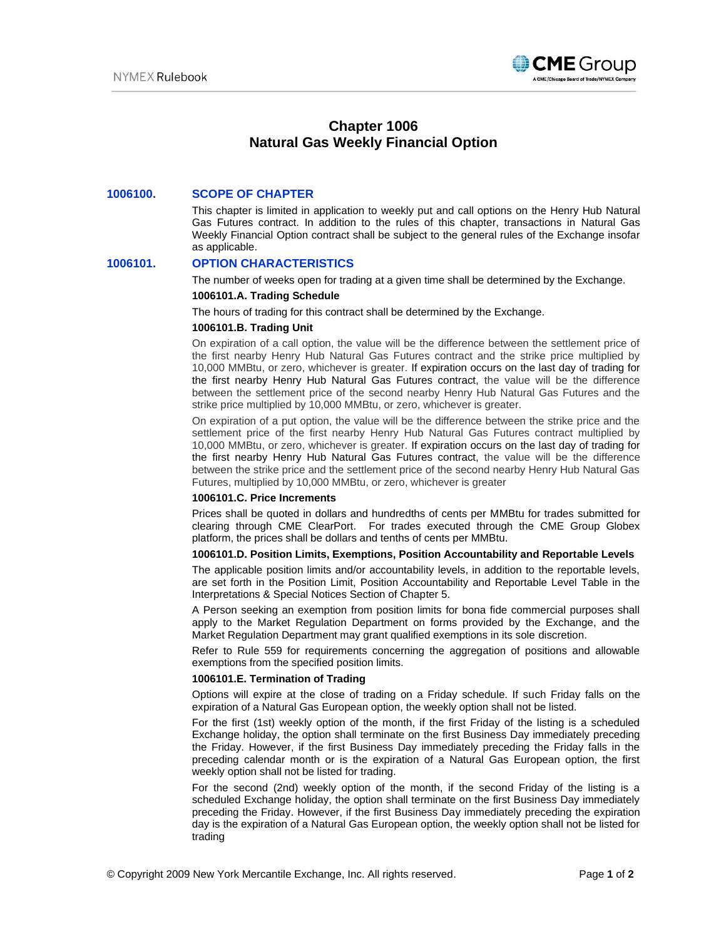

# **Chapter 1006 Natural Gas Weekly Financial Option**

## **1006100. SCOPE OF CHAPTER**

This chapter is limited in application to weekly put and call options on the Henry Hub Natural Gas Futures contract. In addition to the rules of this chapter, transactions in Natural Gas Weekly Financial Option contract shall be subject to the general rules of the Exchange insofar as applicable.

# **1006101. OPTION CHARACTERISTICS**

The number of weeks open for trading at a given time shall be determined by the Exchange.

#### **1006101.A. Trading Schedule**

The hours of trading for this contract shall be determined by the Exchange.

#### **1006101.B. Trading Unit**

On expiration of a call option, the value will be the difference between the settlement price of the first nearby Henry Hub Natural Gas Futures contract and the strike price multiplied by 10,000 MMBtu, or zero, whichever is greater. If expiration occurs on the last day of trading for the first nearby Henry Hub Natural Gas Futures contract, the value will be the difference between the settlement price of the second nearby Henry Hub Natural Gas Futures and the strike price multiplied by 10,000 MMBtu, or zero, whichever is greater.

On expiration of a put option, the value will be the difference between the strike price and the settlement price of the first nearby Henry Hub Natural Gas Futures contract multiplied by 10,000 MMBtu, or zero, whichever is greater. If expiration occurs on the last day of trading for the first nearby Henry Hub Natural Gas Futures contract, the value will be the difference between the strike price and the settlement price of the second nearby Henry Hub Natural Gas Futures, multiplied by 10,000 MMBtu, or zero, whichever is greater

#### **1006101.C. Price Increments**

Prices shall be quoted in dollars and hundredths of cents per MMBtu for trades submitted for clearing through CME ClearPort. For trades executed through the CME Group Globex platform, the prices shall be dollars and tenths of cents per MMBtu.

### **1006101.D. Position Limits, Exemptions, Position Accountability and Reportable Levels**

The applicable position limits and/or accountability levels, in addition to the reportable levels, are set forth in the Position Limit, Position Accountability and Reportable Level Table in the Interpretations & Special Notices Section of Chapter 5.

A Person seeking an exemption from position limits for bona fide commercial purposes shall apply to the Market Regulation Department on forms provided by the Exchange, and the Market Regulation Department may grant qualified exemptions in its sole discretion.

Refer to Rule 559 for requirements concerning the aggregation of positions and allowable exemptions from the specified position limits.

## **1006101.E. Termination of Trading**

Options will expire at the close of trading on a Friday schedule. If such Friday falls on the expiration of a Natural Gas European option, the weekly option shall not be listed.

For the first (1st) weekly option of the month, if the first Friday of the listing is a scheduled Exchange holiday, the option shall terminate on the first Business Day immediately preceding the Friday. However, if the first Business Day immediately preceding the Friday falls in the preceding calendar month or is the expiration of a Natural Gas European option, the first weekly option shall not be listed for trading.

For the second (2nd) weekly option of the month, if the second Friday of the listing is a scheduled Exchange holiday, the option shall terminate on the first Business Day immediately preceding the Friday. However, if the first Business Day immediately preceding the expiration day is the expiration of a Natural Gas European option, the weekly option shall not be listed for trading